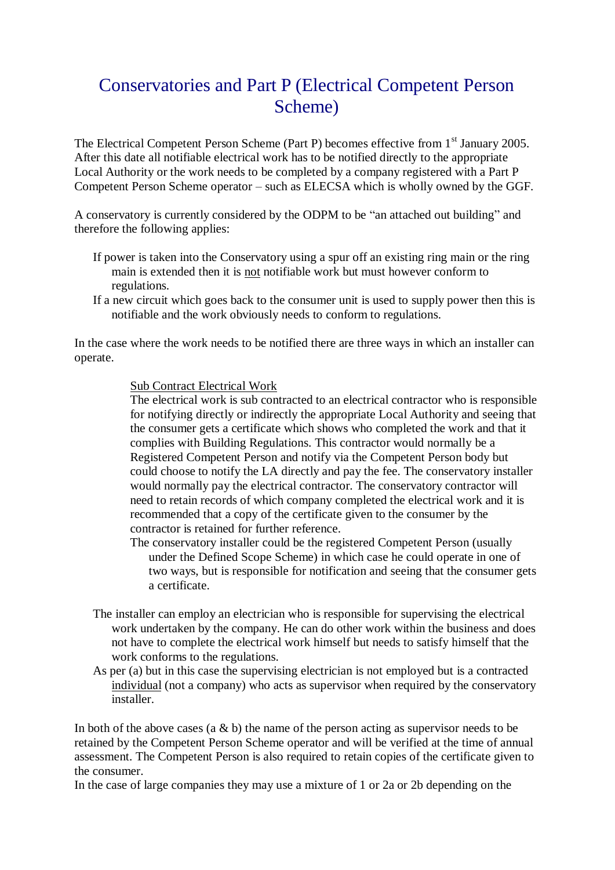## Conservatories and Part P (Electrical Competent Person Scheme)

The Electrical Competent Person Scheme (Part P) becomes effective from 1<sup>st</sup> January 2005. After this date all notifiable electrical work has to be notified directly to the appropriate Local Authority or the work needs to be completed by a company registered with a Part P Competent Person Scheme operator – such as ELECSA which is wholly owned by the GGF.

A conservatory is currently considered by the ODPM to be "an attached out building" and therefore the following applies:

- If power is taken into the Conservatory using a spur off an existing ring main or the ring main is extended then it is not notifiable work but must however conform to regulations.
- If a new circuit which goes back to the consumer unit is used to supply power then this is notifiable and the work obviously needs to conform to regulations.

In the case where the work needs to be notified there are three ways in which an installer can operate.

## Sub Contract Electrical Work

The electrical work is sub contracted to an electrical contractor who is responsible for notifying directly or indirectly the appropriate Local Authority and seeing that the consumer gets a certificate which shows who completed the work and that it complies with Building Regulations. This contractor would normally be a Registered Competent Person and notify via the Competent Person body but could choose to notify the LA directly and pay the fee. The conservatory installer would normally pay the electrical contractor. The conservatory contractor will need to retain records of which company completed the electrical work and it is recommended that a copy of the certificate given to the consumer by the contractor is retained for further reference.

The conservatory installer could be the registered Competent Person (usually under the Defined Scope Scheme) in which case he could operate in one of two ways, but is responsible for notification and seeing that the consumer gets a certificate.

- The installer can employ an electrician who is responsible for supervising the electrical work undertaken by the company. He can do other work within the business and does not have to complete the electrical work himself but needs to satisfy himself that the work conforms to the regulations.
- As per (a) but in this case the supervising electrician is not employed but is a contracted individual (not a company) who acts as supervisor when required by the conservatory installer.

In both of the above cases (a  $\&$  b) the name of the person acting as supervisor needs to be retained by the Competent Person Scheme operator and will be verified at the time of annual assessment. The Competent Person is also required to retain copies of the certificate given to the consumer.

In the case of large companies they may use a mixture of 1 or 2a or 2b depending on the